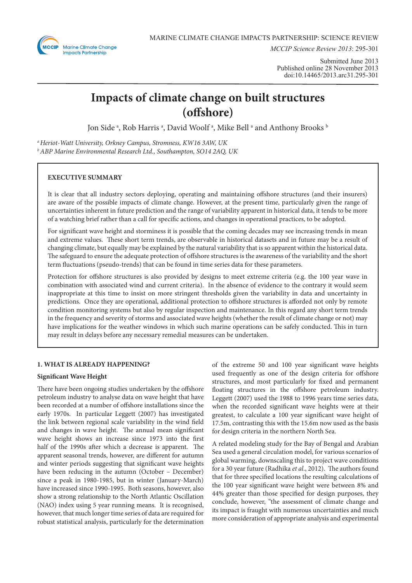

*MCCIP Science Review 2013*: 295-301

Submitted June 2013 Published online 28 November 2013 doi:10.14465/2013.arc31.295-301

# **Impacts of climate change on built structures (offshore)**

Jon Side ª, Rob Harris ª, David Woolf ª, Mike Bell ª and Anthony Brooks  $^{\rm b}$ 

*a Heriot-Watt University, Orkney Campus, Stromness, KW16 3AW, UK b ABP Marine Environmental Research Ltd., Southampton, SO14 2AQ, UK*

# **EXECUTIVE SUMMARY**

It is clear that all industry sectors deploying, operating and maintaining offshore structures (and their insurers) are aware of the possible impacts of climate change. However, at the present time, particularly given the range of uncertainties inherent in future prediction and the range of variability apparent in historical data, it tends to be more of a watching brief rather than a call for specific actions, and changes in operational practices, to be adopted.

For significant wave height and storminess it is possible that the coming decades may see increasing trends in mean and extreme values. These short term trends, are observable in historical datasets and in future may be a result of changing climate, but equally may be explained by the natural variability that is so apparent within the historical data. The safeguard to ensure the adequate protection of offshore structures is the awareness of the variability and the short term fluctuations (pseudo-trends) that can be found in time series data for these parameters.

Protection for offshore structures is also provided by designs to meet extreme criteria (e.g. the 100 year wave in combination with associated wind and current criteria). In the absence of evidence to the contrary it would seem inappropriate at this time to insist on more stringent thresholds given the variability in data and uncertainty in predictions. Once they are operational, additional protection to offshore structures is afforded not only by remote condition monitoring systems but also by regular inspection and maintenance. In this regard any short term trends in the frequency and severity of storms and associated wave heights (whether the result of climate change or not) may have implications for the weather windows in which such marine operations can be safely conducted. This in turn may result in delays before any necessary remedial measures can be undertaken.

## **1. WHAT IS ALREADY HAPPENING?**

## **Significant Wave Height**

There have been ongoing studies undertaken by the offshore petroleum industry to analyse data on wave height that have been recorded at a number of offshore installations since the early 1970s. In particular Leggett (2007) has investigated the link between regional scale variability in the wind field and changes in wave height. The annual mean significant wave height shows an increase since 1973 into the first half of the 1990s after which a decrease is apparent. The apparent seasonal trends, however, are different for autumn and winter periods suggesting that significant wave heights have been reducing in the autumn (October – December) since a peak in 1980-1985, but in winter (January-March) have increased since 1990-1995. Both seasons, however, also show a strong relationship to the North Atlantic Oscillation (NAO) index using 5 year running means. It is recognised, however, that much longer time series of data are required for robust statistical analysis, particularly for the determination

of the extreme 50 and 100 year significant wave heights used frequently as one of the design criteria for offshore structures, and most particularly for fixed and permanent floating structures in the offshore petroleum industry. Leggett (2007) used the 1988 to 1996 years time series data, when the recorded significant wave heights were at their greatest, to calculate a 100 year significant wave height of 17.5m, contrasting this with the 15.6m now used as the basis for design criteria in the northern North Sea.

A related modeling study for the Bay of Bengal and Arabian Sea used a general circulation model, for various scenarios of global warming, downscaling this to project wave conditions for a 30 year future (Radhika *et al*., 2012). The authors found that for three specified locations the resulting calculations of the 100 year significant wave height were between 8% and 44% greater than those specified for design purposes, they conclude, however, "the assessment of climate change and its impact is fraught with numerous uncertainties and much more consideration of appropriate analysis and experimental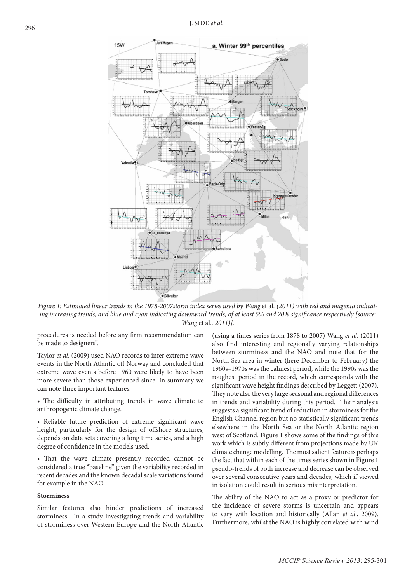

Figure 1: Estimated linear trends in the 1978-2007storm index series used by Wang et al. (2011) with red and magenta indicat*ing increasing trends, and blue and cyan indicating downward trends, of at least 5% and 20% significance respectively [source: Wang* et al.*, 2011)].*

procedures is needed before any firm recommendation can be made to designers".

Taylor *et al*. (2009) used NAO records to infer extreme wave events in the North Atlantic off Norway and concluded that extreme wave events before 1960 were likely to have been more severe than those experienced since. In summary we can note three important features:

• The difficulty in attributing trends in wave climate to anthropogenic climate change.

• Reliable future prediction of extreme significant wave height, particularly for the design of offshore structures, depends on data sets covering a long time series, and a high degree of confidence in the models used.

• That the wave climate presently recorded cannot be considered a true "baseline" given the variability recorded in recent decades and the known decadal scale variations found for example in the NAO.

#### **Storminess**

Similar features also hinder predictions of increased storminess. In a study investigating trends and variability of storminess over Western Europe and the North Atlantic

(using a times series from 1878 to 2007) Wang *et al*. (2011) also find interesting and regionally varying relationships between storminess and the NAO and note that for the North Sea area in winter (here December to February) the 1960s–1970s was the calmest period, while the 1990s was the roughest period in the record, which corresponds with the significant wave height findings described by Leggett (2007). They note also the very large seasonal and regional differences in trends and variability during this period. Their analysis suggests a significant trend of reduction in storminess for the English Channel region but no statistically significant trends elsewhere in the North Sea or the North Atlantic region west of Scotland. Figure 1 shows some of the findings of this work which is subtly different from projections made by UK climate change modelling. The most salient feature is perhaps the fact that within each of the times series shown in Figure 1 pseudo-trends of both increase and decrease can be observed over several consecutive years and decades, which if viewed in isolation could result in serious misinterpretation.

The ability of the NAO to act as a proxy or predictor for the incidence of severe storms is uncertain and appears to vary with location and historically (Allan *et al*., 2009). Furthermore, whilst the NAO is highly correlated with wind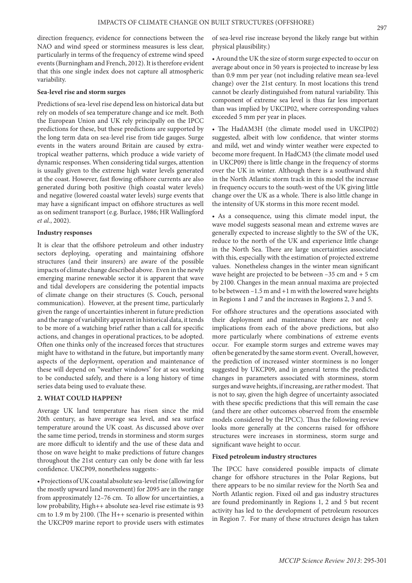direction frequency, evidence for connections between the NAO and wind speed or storminess measures is less clear, particularly in terms of the frequency of extreme wind speed events (Burningham and French, 2012). It is therefore evident that this one single index does not capture all atmospheric variability.

#### **Sea-level rise and storm surges**

Predictions of sea-level rise depend less on historical data but rely on models of sea temperature change and ice melt. Both the European Union and UK rely principally on the IPCC predictions for these, but these predictions are supported by the long term data on sea-level rise from tide gauges. Surge events in the waters around Britain are caused by extratropical weather patterns, which produce a wide variety of dynamic responses. When considering tidal surges, attention is usually given to the extreme high water levels generated at the coast. However, fast flowing offshore currents are also generated during both positive (high coastal water levels) and negative (lowered coastal water levels) surge events that may have a significant impact on offshore structures as well as on sediment transport (e.g. Burlace, 1986; HR Wallingford *et al*., 2002).

## **Industry responses**

It is clear that the offshore petroleum and other industry sectors deploying, operating and maintaining offshore structures (and their insurers) are aware of the possible impacts of climate change described above. Even in the newly emerging marine renewable sector it is apparent that wave and tidal developers are considering the potential impacts of climate change on their structures (S. Couch, personal communication). However, at the present time, particularly given the range of uncertainties inherent in future prediction and the range of variability apparent in historical data, it tends to be more of a watching brief rather than a call for specific actions, and changes in operational practices, to be adopted. Often one thinks only of the increased forces that structures might have to withstand in the future, but importantly many aspects of the deployment, operation and maintenance of these will depend on "weather windows" for at sea working to be conducted safely, and there is a long history of time series data being used to evaluate these.

## **2. WHAT COULD HAPPEN?**

Average UK land temperature has risen since the mid 20th century, as have average sea level, and sea surface temperature around the UK coast. As discussed above over the same time period, trends in storminess and storm surges are more difficult to identify and the use of these data and those on wave height to make predictions of future changes throughout the 21st century can only be done with far less confidence. UKCP09, nonetheless suggests:-

• Projections of UK coastal absolute sea-level rise (allowing for the mostly upward land movement) for 2095 are in the range from approximately 12–76 cm. To allow for uncertainties, a low probability, High++ absolute sea-level rise estimate is 93 cm to 1.9 m by 2100. (The H++ scenario is presented within the UKCP09 marine report to provide users with estimates

of sea-level rise increase beyond the likely range but within physical plausibility.)

• Around the UK the size of storm surge expected to occur on average about once in 50 years is projected to increase by less than 0.9 mm per year (not including relative mean sea-level change) over the 21st century. In most locations this trend cannot be clearly distinguished from natural variability. This component of extreme sea level is thus far less important than was implied by UKCIP02, where corresponding values exceeded 5 mm per year in places.

• The HadAM3H (the climate model used in UKCIP02) suggested, albeit with low confidence, that winter storms and mild, wet and windy winter weather were expected to become more frequent. In HadCM3 (the climate model used in UKCP09) there is little change in the frequency of storms over the UK in winter. Although there is a southward shift in the North Atlantic storm track in this model the increase in frequency occurs to the south-west of the UK giving little change over the UK as a whole. There is also little change in the intensity of UK storms in this more recent model.

• As a consequence, using this climate model input, the wave model suggests seasonal mean and extreme waves are generally expected to increase slightly to the SW of the UK, reduce to the north of the UK and experience little change in the North Sea. There are large uncertainties associated with this, especially with the estimation of projected extreme values. Nonetheless changes in the winter mean significant wave height are projected to be between –35 cm and + 5 cm by 2100. Changes in the mean annual maxima are projected to be between –1.5 m and +1 m with the lowered wave heights in Regions 1 and 7 and the increases in Regions 2, 3 and 5.

For offshore structures and the operations associated with their deployment and maintenance there are not only implications from each of the above predictions, but also more particularly where combinations of extreme events occur. For example storm surges and extreme waves may often be generated by the same storm event. Overall, however, the prediction of increased winter storminess is no longer suggested by UKCP09, and in general terms the predicted changes in parameters associated with storminess, storm surges and wave heights, if increasing, are rather modest. That is not to say, given the high degree of uncertainty associated with these specific predictions that this will remain the case (and there are other outcomes observed from the ensemble models considered by the IPCC). Thus the following review looks more generally at the concerns raised for offshore structures were increases in storminess, storm surge and significant wave height to occur.

#### **Fixed petroleum industry structures**

The IPCC have considered possible impacts of climate change for offshore structures in the Polar Regions, but there appears to be no similar review for the North Sea and North Atlantic region. Fixed oil and gas industry structures are found predominantly in Regions 1, 2 and 5 but recent activity has led to the development of petroleum resources in Region 7. For many of these structures design has taken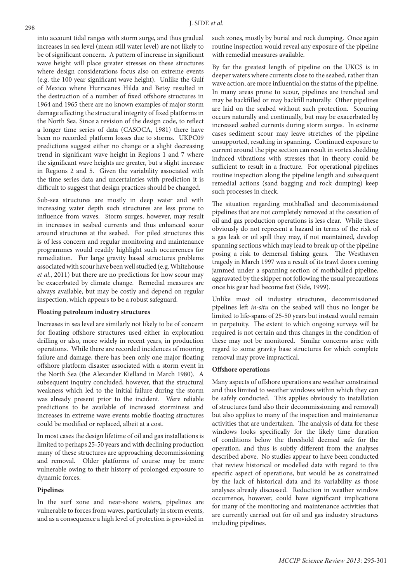into account tidal ranges with storm surge, and thus gradual increases in sea level (mean still water level) are not likely to be of significant concern. A pattern of increase in significant wave height will place greater stresses on these structures where design considerations focus also on extreme events (e.g. the 100 year significant wave height). Unlike the Gulf of Mexico where Hurricanes Hilda and Betsy resulted in the destruction of a number of fixed offshore structures in 1964 and 1965 there are no known examples of major storm damage affecting the structural integrity of fixed platforms in the North Sea. Since a revision of the design code, to reflect a longer time series of data (CASOCA, 1981) there have been no recorded platform losses due to storms. UKPC09 predictions suggest either no change or a slight decreasing trend in significant wave height in Regions 1 and 7 where the significant wave heights are greater, but a slight increase in Regions 2 and 5. Given the variability associated with the time series data and uncertainties with prediction it is difficult to suggest that design practices should be changed.

Sub-sea structures are mostly in deep water and with increasing water depth such structures are less prone to influence from waves. Storm surges, however, may result in increases in seabed currents and thus enhanced scour around structures at the seabed. For piled structures this is of less concern and regular monitoring and maintenance programmes would readily highlight such occurrences for remediation. For large gravity based structures problems associated with scour have been well studied (e.g. Whitehouse *et al*., 2011) but there are no predictions for how scour may be exacerbated by climate change. Remedial measures are always available, but may be costly and depend on regular inspection, which appears to be a robust safeguard.

#### **Floating petroleum industry structures**

Increases in sea level are similarly not likely to be of concern for floating offshore structures used either in exploration drilling or also, more widely in recent years, in production operations. While there are recorded incidences of mooring failure and damage, there has been only one major floating offshore platform disaster associated with a storm event in the North Sea (the Alexander Kielland in March 1980). A subsequent inquiry concluded, however, that the structural weakness which led to the initial failure during the storm was already present prior to the incident. Were reliable predictions to be available of increased storminess and increases in extreme wave events mobile floating structures could be modified or replaced, albeit at a cost.

In most cases the design lifetime of oil and gas installations is limited to perhaps 25-50 years and with declining production many of these structures are approaching decommissioning and removal. Older platforms of course may be more vulnerable owing to their history of prolonged exposure to dynamic forces.

## **Pipelines**

In the surf zone and near-shore waters, pipelines are vulnerable to forces from waves, particularly in storm events, and as a consequence a high level of protection is provided in

such zones, mostly by burial and rock dumping. Once again routine inspection would reveal any exposure of the pipeline with remedial measures available.

By far the greatest length of pipeline on the UKCS is in deeper waters where currents close to the seabed, rather than wave action, are more influential on the status of the pipeline. In many areas prone to scour, pipelines are trenched and may be backfilled or may backfill naturally. Other pipelines are laid on the seabed without such protection. Scouring occurs naturally and continually, but may be exacerbated by increased seabed currents during storm surges. In extreme cases sediment scour may leave stretches of the pipeline unsupported, resulting in spanning. Continued exposure to current around the pipe section can result in vortex shedding induced vibrations with stresses that in theory could be sufficient to result in a fracture. For operational pipelines routine inspection along the pipeline length and subsequent remedial actions (sand bagging and rock dumping) keep such processes in check.

The situation regarding mothballed and decommissioned pipelines that are not completely removed at the cessation of oil and gas production operations is less clear. While these obviously do not represent a hazard in terms of the risk of a gas leak or oil spill they may, if not maintained, develop spanning sections which may lead to break up of the pipeline posing a risk to demersal fishing gears. The Westhaven tragedy in March 1997 was a result of its trawl doors coming jammed under a spanning section of mothballed pipeline, aggravated by the skipper not following the usual precautions once his gear had become fast (Side, 1999).

Unlike most oil industry structures, decommissioned pipelines left *in-situ* on the seabed will thus no longer be limited to life-spans of 25-50 years but instead would remain in perpetuity. The extent to which ongoing surveys will be required is not certain and thus changes in the condition of these may not be monitored. Similar concerns arise with regard to some gravity base structures for which complete removal may prove impractical.

#### **Offshore operations**

Many aspects of offshore operations are weather constrained and thus limited to weather windows within which they can be safely conducted. This applies obviously to installation of structures (and also their decommissioning and removal) but also applies to many of the inspection and maintenance activities that are undertaken. The analysis of data for these windows looks specifically for the likely time duration of conditions below the threshold deemed safe for the operation, and thus is subtly different from the analyses described above. No studies appear to have been conducted that review historical or modelled data with regard to this specific aspect of operations, but would be as constrained by the lack of historical data and its variability as those analyses already discussed. Reduction in weather window occurrence, however, could have significant implications for many of the monitoring and maintenance activities that are currently carried out for oil and gas industry structures including pipelines.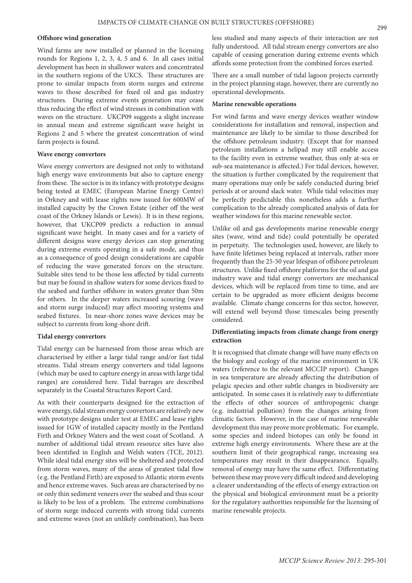#### **Offshore wind generation**

Wind farms are now installed or planned in the licensing rounds for Regions 1, 2, 3, 4, 5 and 6. In all cases initial development has been in shallower waters and concentrated in the southern regions of the UKCS. These structures are prone to similar impacts from storm surges and extreme waves to those described for fixed oil and gas industry structures. During extreme events generation may cease thus reducing the effect of wind stresses in combination with waves on the structure. UKCP09 suggests a slight increase in annual mean and extreme significant wave height in Regions 2 and 5 where the greatest concentration of wind farm projects is found.

#### **Wave energy convertors**

Wave energy convertors are designed not only to withstand high energy wave environments but also to capture energy from these. The sector is in its infancy with prototype designs being tested at EMEC (European Marine Energy Centre) in Orkney and with lease rights now issued for 600MW of installed capacity by the Crown Estate (either off the west coast of the Orkney Islands or Lewis). It is in these regions, however, that UKCP09 predicts a reduction in annual significant wave height. In many cases and for a variety of different designs wave energy devices can stop generating during extreme events operating in a safe mode, and thus as a consequence of good design considerations are capable of reducing the wave generated forces on the structure. Suitable sites tend to be those less affected by tidal currents but may be found in shallow waters for some devices fixed to the seabed and further offshore in waters greater than 50m for others. In the deeper waters increased scouring (wave and storm surge induced) may affect mooring systems and seabed fixtures. In near-shore zones wave devices may be subject to currents from long-shore drift.

#### **Tidal energy convertors**

Tidal energy can be harnessed from those areas which are characterised by either a large tidal range and/or fast tidal streams. Tidal stream energy converters and tidal lagoons (which may be used to capture energy in areas with large tidal ranges) are considered here. Tidal barrages are described separately in the Coastal Structures Report Card.

As with their counterparts designed for the extraction of wave energy, tidal stream energy convertors are relatively new with prototype designs under test at EMEC and lease rights issued for 1GW of installed capacity mostly in the Pentland Firth and Orkney Waters and the west coast of Scotland. A number of additional tidal stream resource sites have also been identified in English and Welsh waters (TCE, 2012). While ideal tidal energy sites will be sheltered and protected from storm waves, many of the areas of greatest tidal flow (e.g. the Pentland Firth) are exposed to Atlantic storm events and hence extreme waves. Such areas are characterised by no or only thin sediment veneers over the seabed and thus scour is likely to be less of a problem. The extreme combinations of storm surge induced currents with strong tidal currents and extreme waves (not an unlikely combination), has been

less studied and many aspects of their interaction are not fully understood. All tidal stream energy convertors are also capable of ceasing generation during extreme events which affords some protection from the combined forces exerted.

There are a small number of tidal lagoon projects currently in the project planning stage, however, there are currently no operational developments.

#### **Marine renewable operations**

For wind farms and wave energy devices weather window considerations for installation and removal, inspection and maintenance are likely to be similar to those described for the offshore petroleum industry. (Except that for manned petroleum installations a helipad may still enable access to the facility even in extreme weather, thus only at-sea or sub-sea maintenance is affected.) For tidal devices, however, the situation is further complicated by the requirement that many operations may only be safely conducted during brief periods at or around slack water. While tidal velocities may be perfectly predictable this nonetheless adds a further complication to the already complicated analysis of data for weather windows for this marine renewable sector.

Unlike oil and gas developments marine renewable energy sites (wave, wind and tide) could potentially be operated in perpetuity. The technologies used, however, are likely to have finite lifetimes being replaced at intervals, rather more frequently than the 25-50 year lifespan of offshore petroleum structures. Unlike fixed offshore platforms for the oil and gas industry wave and tidal energy convertors are mechanical devices, which will be replaced from time to time, and are certain to be upgraded as more efficient designs become available. Climate change concerns for this sector, however, will extend well beyond those timescales being presently considered.

## **Differentiating impacts from climate change from energy extraction**

It is recognised that climate change will have many effects on the biology and ecology of the marine environment in UK waters (reference to the relevant MCCIP report). Changes in sea temperature are already affecting the distribution of pelagic species and other subtle changes in biodiversity are anticipated. In some cases it is relatively easy to differentiate the effects of other sources of anthropogenic change (e.g. industrial pollution) from the changes arising from climatic factors. However, in the case of marine renewable development this may prove more problematic. For example, some species and indeed biotopes can only be found in extreme high energy environments. Where these are at the southern limit of their geographical range, increasing sea temperatures may result in their disappearance. Equally, removal of energy may have the same effect. Differentiating between these may prove very difficult indeed and developing a clearer understanding of the effects of energy extraction on the physical and biological environment must be a priority for the regulatory authorities responsible for the licensing of marine renewable projects.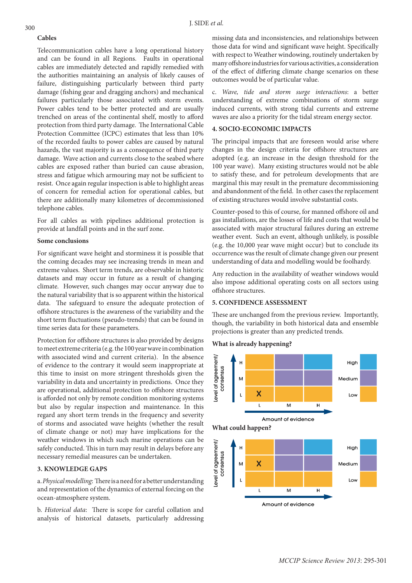#### **Cables**

Telecommunication cables have a long operational history and can be found in all Regions. Faults in operational cables are immediately detected and rapidly remedied with the authorities maintaining an analysis of likely causes of failure, distinguishing particularly between third party damage (fishing gear and dragging anchors) and mechanical failures particularly those associated with storm events. Power cables tend to be better protected and are usually trenched on areas of the continental shelf, mostly to afford protection from third party damage. The International Cable Protection Committee (ICPC) estimates that less than 10% of the recorded faults to power cables are caused by natural hazards, the vast majority is as a consequence of third party damage. Wave action and currents close to the seabed where cables are exposed rather than buried can cause abrasion, stress and fatigue which armouring may not be sufficient to resist. Once again regular inspection is able to highlight areas of concern for remedial action for operational cables, but there are additionally many kilometres of decommissioned telephone cables.

For all cables as with pipelines additional protection is provide at landfall points and in the surf zone.

## **Some conclusions**

For significant wave height and storminess it is possible that the coming decades may see increasing trends in mean and extreme values. Short term trends, are observable in historic datasets and may occur in future as a result of changing climate. However, such changes may occur anyway due to the natural variability that is so apparent within the historical data. The safeguard to ensure the adequate protection of offshore structures is the awareness of the variability and the short term fluctuations (pseudo-trends) that can be found in time series data for these parameters.

Protection for offshore structures is also provided by designs to meet extreme criteria (e.g. the 100 year wave in combination with associated wind and current criteria). In the absence of evidence to the contrary it would seem inappropriate at this time to insist on more stringent thresholds given the variability in data and uncertainty in predictions. Once they are operational, additional protection to offshore structures is afforded not only by remote condition monitoring systems but also by regular inspection and maintenance. In this regard any short term trends in the frequency and severity of storms and associated wave heights (whether the result of climate change or not) may have implications for the weather windows in which such marine operations can be safely conducted. This in turn may result in delays before any necessary remedial measures can be undertaken.

## **3. KNOWLEDGE GAPS**

a. *Physical modelling*: There is a need for a better understanding and representation of the dynamics of external forcing on the ocean-atmosphere system.

b. *Historical data*: There is scope for careful collation and analysis of historical datasets, particularly addressing

missing data and inconsistencies, and relationships between those data for wind and significant wave height. Specifically with respect to Weather windowing, routinely undertaken by many offshore industries for various activities, a consideration of the effect of differing climate change scenarios on these outcomes would be of particular value.

c. *Wave, tide and storm surge interactions*: a better understanding of extreme combinations of storm surge induced currents, with strong tidal currents and extreme waves are also a priority for the tidal stream energy sector.

## **4. SOCIO-ECONOMIC IMPACTS**

The principal impacts that are foreseen would arise where changes in the design criteria for offshore structures are adopted (e.g. an increase in the design threshold for the 100 year wave). Many existing structures would not be able to satisfy these, and for petroleum developments that are marginal this may result in the premature decommissioning and abandonment of the field. In other cases the replacement of existing structures would involve substantial costs.

Counter-posed to this of course, for manned offshore oil and gas installations, are the losses of life and costs that would be associated with major structural failures during an extreme weather event. Such an event, although unlikely, is possible (e.g. the 10,000 year wave might occur) but to conclude its occurrence was the result of climate change given our present understanding of data and modelling would be foolhardy.

Any reduction in the availability of weather windows would also impose additional operating costs on all sectors using offshore structures.

## **5. CONFIDENCE ASSESSMENT**

These are unchanged from the previous review. Importantly, though, the variability in both historical data and ensemble projections is greater than any predicted trends.

## **What is already happening?**